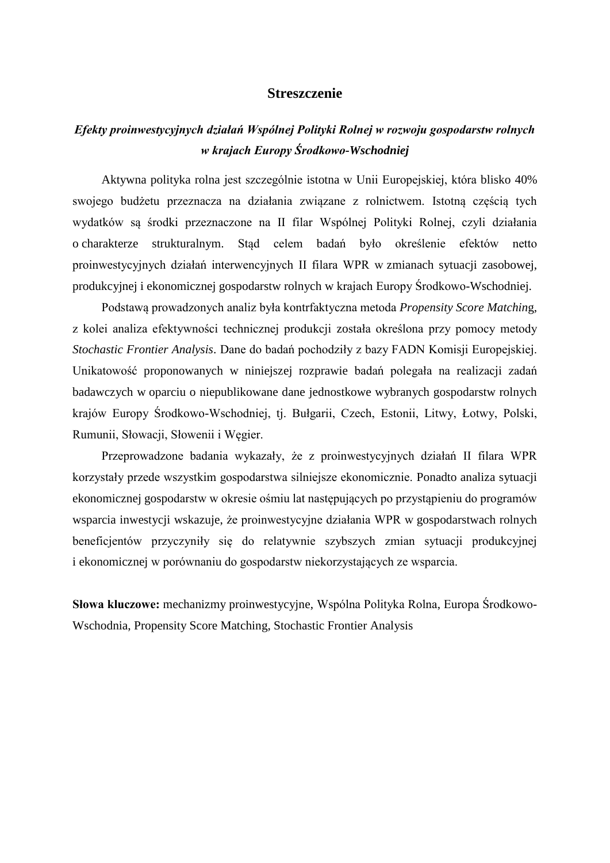## **Streszczenie**

## *Efekty proinwestycyjnych działań Wspólnej Polityki Rolnej w rozwoju gospodarstw rolnych w krajach Europy Środkowo-Wschodniej*

Aktywna polityka rolna jest szczególnie istotna w Unii Europejskiej, która blisko 40% swojego budżetu przeznacza na działania związane z rolnictwem. Istotną częścią tych wydatków są środki przeznaczone na II filar Wspólnej Polityki Rolnej, czyli działania o charakterze strukturalnym. Stąd celem badań było określenie efektów netto proinwestycyjnych działań interwencyjnych II filara WPR w zmianach sytuacji zasobowej, produkcyjnej i ekonomicznej gospodarstw rolnych w krajach Europy Środkowo-Wschodniej.

Podstawą prowadzonych analiz była kontrfaktyczna metoda *Propensity Score Matchin*g, z kolei analiza efektywności technicznej produkcji została określona przy pomocy metody *Stochastic Frontier Analysis*. Dane do badań pochodziły z bazy FADN Komisji Europejskiej. Unikatowość proponowanych w niniejszej rozprawie badań polegała na realizacji zadań badawczych w oparciu o niepublikowane dane jednostkowe wybranych gospodarstw rolnych krajów Europy Środkowo-Wschodniej, tj. Bułgarii, Czech, Estonii, Litwy, Łotwy, Polski, Rumunii, Słowacji, Słowenii i Węgier.

Przeprowadzone badania wykazały, że z proinwestycyjnych działań II filara WPR korzystały przede wszystkim gospodarstwa silniejsze ekonomicznie. Ponadto analiza sytuacji ekonomicznej gospodarstw w okresie ośmiu lat następujących po przystąpieniu do programów wsparcia inwestycji wskazuje, że proinwestycyjne działania WPR w gospodarstwach rolnych beneficjentów przyczyniły się do relatywnie szybszych zmian sytuacji produkcyjnej i ekonomicznej w porównaniu do gospodarstw niekorzystających ze wsparcia.

**Słowa kluczowe:** mechanizmy proinwestycyjne, Wspólna Polityka Rolna, Europa Środkowo-Wschodnia, Propensity Score Matching, Stochastic Frontier Analysis